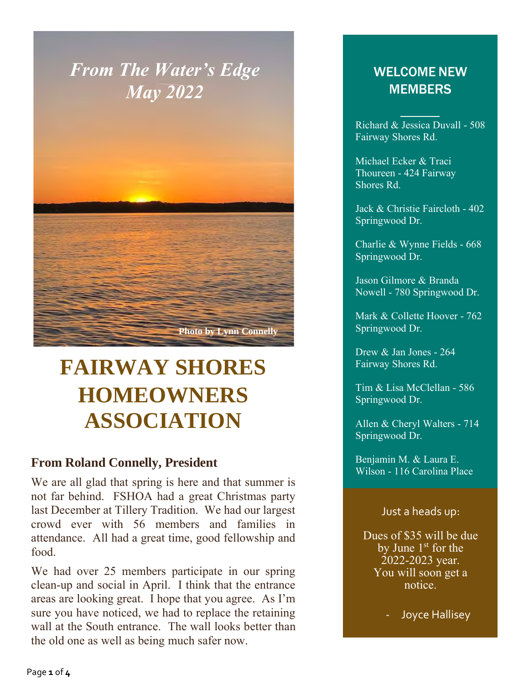### *From The Water's Edge May 2022*



## **FAIRWAY SHORES HOMEOWNERS ASSOCIATION**

#### **From Roland Connelly, President**

We are all glad that spring is here and that summer is not far behind. FSHOA had a great Christmas party last December at Tillery Tradition. We had our largest crowd ever with 56 members and families in attendance. All had a great time, good fellowship and food.

We had over 25 members participate in our spring clean-up and social in April. I think that the entrance areas are looking great. I hope that you agree. As I'm sure you have noticed, we had to replace the retaining wall at the South entrance. The wall looks better than the old one as well as being much safer now.

#### WELCOME NEW **MEMBERS**

Richard & Jessica Duvall - 508 Fairway Shores Rd.

Michael Ecker & Traci Thoureen - 424 Fairway emphasize a key point. The short of the state and the state and the state  $\mathbb{R}$ 

Jack & Christie Faircloth - 402 Springwood Dr.

Charlie & Wynne Fields - 668 Springwood Dr.

Jason Gilmore & Branda Nowell - 780 Springwood Dr.

Mark & Collette Hoover - 762 Springwood Dr.

Drew & Jan Jones - 264 Fairway Shores Rd.

Tim & Lisa McClellan - 586 Springwood Dr.

Allen & Cheryl Walters - 714 Springwood Dr.

Benjamin M. & Laura E. Wilson - 116 Carolina Place

#### Just a heads up:

Dues of \$35 will be due by June  $1<sup>st</sup>$  for the 2022-2023 year. You will soon get a notice.

- Joyce Hallisey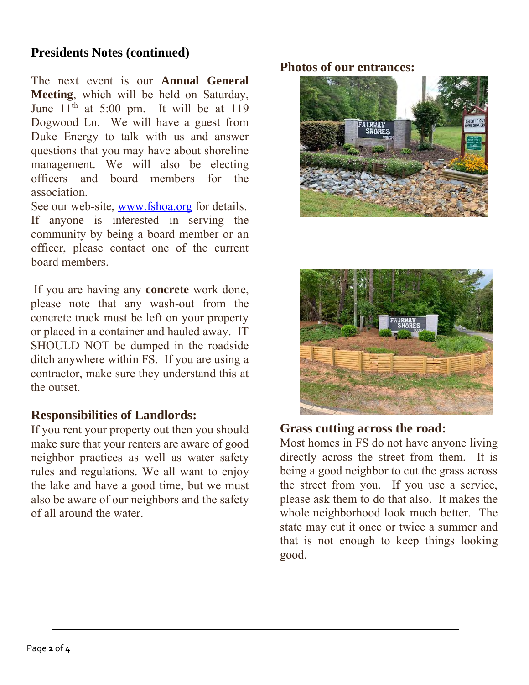#### **Presidents Notes (continued)**

The next event is our **Annual General Meeting**, which will be held on Saturday, June  $11<sup>th</sup>$  at 5:00 pm. It will be at 119 Dogwood Ln. We will have a guest from Duke Energy to talk with us and answer questions that you may have about shoreline management. We will also be electing officers and board members for the association.

See our web-site, [www.fshoa.org](http://www.fshoa.org/) for details. If anyone is interested in serving the community by being a board member or an officer, please contact one of the current board members.

If you are having any **concrete** work done, please note that any wash-out from the concrete truck must be left on your property or placed in a container and hauled away. IT SHOULD NOT be dumped in the roadside ditch anywhere within FS. If you are using a contractor, make sure they understand this at the outset.

#### **Responsibilities of Landlords:**

If you rent your property out then you should make sure that your renters are aware of good neighbor practices as well as water safety rules and regulations. We all want to enjoy the lake and have a good time, but we must also be aware of our neighbors and the safety of all around the water.

#### **Photos of our entrances:**





#### **Grass cutting across the road:**

Most homes in FS do not have anyone living directly across the street from them. It is being a good neighbor to cut the grass across the street from you. If you use a service, please ask them to do that also. It makes the whole neighborhood look much better. The state may cut it once or twice a summer and that is not enough to keep things looking good.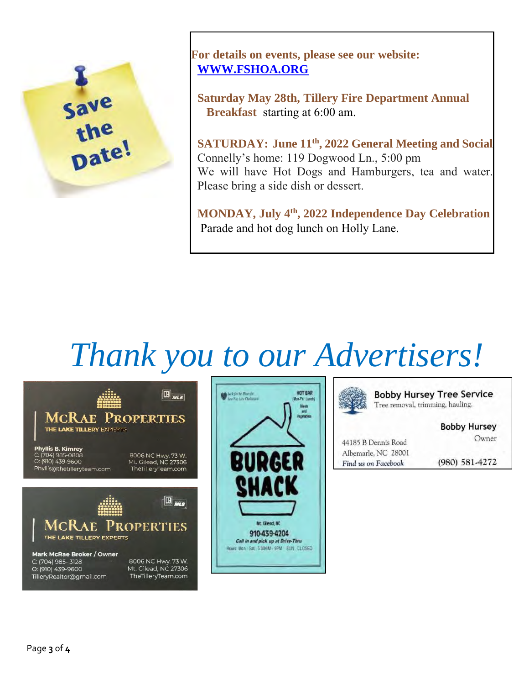

**For details on events, please see our website: [WWW.FSHOA.ORG](http://www.fshoa.org/)**

 **Saturday May 28th, Tillery Fire Department Annual Breakfast** starting at 6:00 am.

**SATURDAY: June 11th, 2022 General Meeting and Social** Connelly's home: 119 Dogwood Ln., 5:00 pm We will have Hot Dogs and Hamburgers, tea and water. Please bring a side dish or dessert.

 **MONDAY, July 4th, 2022 Independence Day Celebration** Parade and hot dog lunch on Holly Lane.

# *Thank you to our Advertisers!*







**Bobby Hursey Tree Service** Tree removal, trimming, hauling.

**Bobby Hursey** 

Owner

44185 B Dennis Road Albemarle, NC 28001 Find us on Facebook

(980) 581-4272